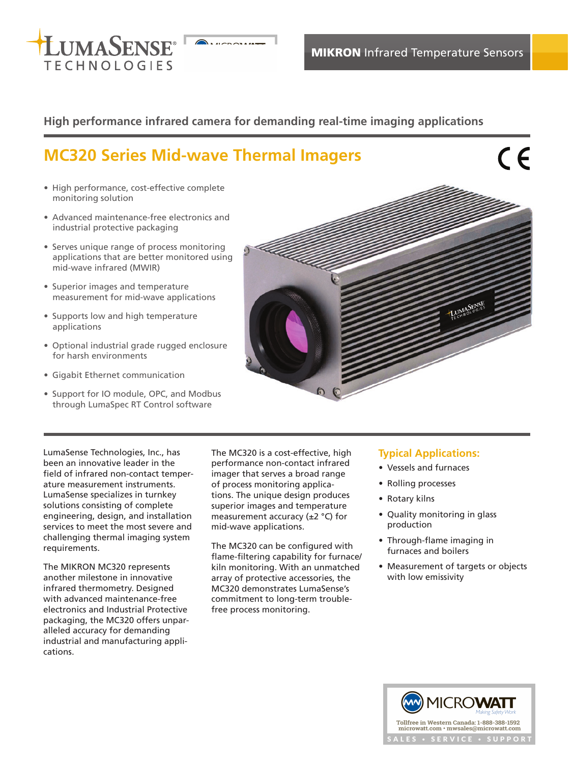

# **High performance infrared camera for demanding real-time imaging applications**

# **MC320 Series Mid-wave Thermal Imagers**

# $\epsilon$

- High performance, cost-effective complete monitoring solution
- Advanced maintenance-free electronics and industrial protective packaging
- Serves unique range of process monitoring applications that are better monitored using mid-wave infrared (MWIR)
- Superior images and temperature measurement for mid-wave applications
- Supports low and high temperature applications
- Optional industrial grade rugged enclosure for harsh environments
- Gigabit Ethernet communication
- Support for IO module, OPC, and Modbus through LumaSpec RT Control software



LumaSense Technologies, Inc., has been an innovative leader in the field of infrared non-contact temperature measurement instruments. LumaSense specializes in turnkey solutions consisting of complete engineering, design, and installation services to meet the most severe and challenging thermal imaging system requirements.

The MIKRON MC320 represents another milestone in innovative infrared thermometry. Designed with advanced maintenance-free electronics and Industrial Protective packaging, the MC320 offers unparalleled accuracy for demanding industrial and manufacturing applications.

The MC320 is a cost-effective, high performance non-contact infrared imager that serves a broad range of process monitoring applications. The unique design produces superior images and temperature measurement accuracy (±2 °C) for mid-wave applications.

The MC320 can be configured with flame-filtering capability for furnace/ kiln monitoring. With an unmatched array of protective accessories, the MC320 demonstrates LumaSense's commitment to long-term troublefree process monitoring.

## **Typical Applications:**

- Vessels and furnaces
- Rolling processes
- Rotary kilns
- Quality monitoring in glass production
- Through-flame imaging in furnaces and boilers
- Measurement of targets or objects with low emissivity

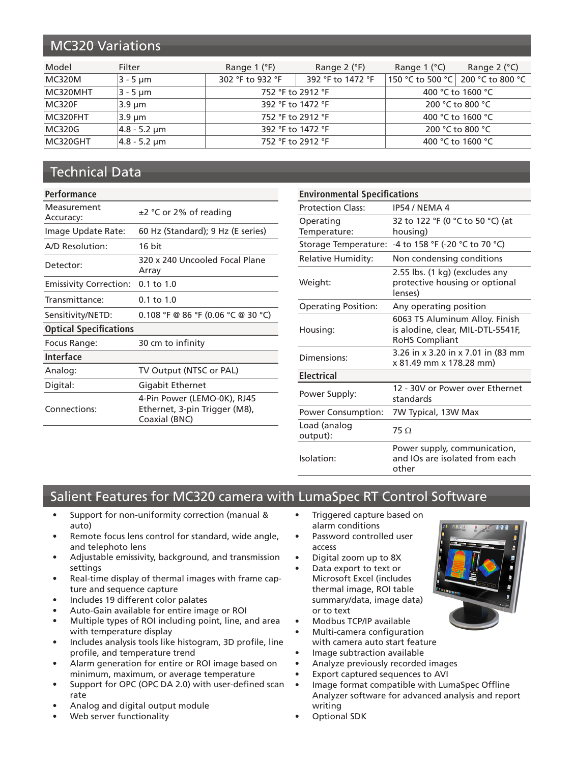# MC320 Variations

| Model    | Filter                     | Range $1$ ( $\degree$ F) | Range $2$ ( $\degree$ F) | Range $1$ ( $^{\circ}$ C) | Range $2$ ( $^{\circ}$ C)         |
|----------|----------------------------|--------------------------|--------------------------|---------------------------|-----------------------------------|
| MC320M   | $3 - 5 \mu m$              | 302 °F to 932 °F         | 392 °F to 1472 °F        |                           | 150 °C to 500 °C 200 °C to 800 °C |
| MC320MHT | 3 - 5 um                   | 752 °F to 2912 °F        |                          |                           | 400 °C to 1600 °C                 |
| MC320F   | 3.9 um                     | 392 °F to 1472 °F        |                          |                           | 200 °C to 800 °C                  |
| MC320FHT | 3.9 um                     | 752 °F to 2912 °F        |                          |                           | 400 °C to 1600 °C                 |
| MC320G   | $4.8 - 5.2 \,\text{\mu m}$ | 392 °F to 1472 °F        |                          |                           | 200 °C to 800 °C                  |
| MC320GHT | $ 4.8 - 5.2 $ µm           |                          | 752 °F to 2912 °F        |                           | 400 °C to 1600 °C                 |

# Technical Data

#### **Performance**

| Measurement<br>Accuracy:      | ±2 °C or 2% of reading                                                        |  |
|-------------------------------|-------------------------------------------------------------------------------|--|
| Image Update Rate:            | 60 Hz (Standard); 9 Hz (E series)                                             |  |
| A/D Resolution:               | 16 bit                                                                        |  |
| Detector:                     | 320 x 240 Uncooled Focal Plane<br>Arrav                                       |  |
| <b>Emissivity Correction:</b> | $0.1 \text{ to } 1.0$                                                         |  |
| Transmittance:                | $0.1$ to $1.0$                                                                |  |
| Sensitivity/NETD:             | $0.108$ °F @ 86 °F (0.06 °C @ 30 °C)                                          |  |
| <b>Optical Specifications</b> |                                                                               |  |
| Focus Range:                  | 30 cm to infinity                                                             |  |
| <b>Interface</b>              |                                                                               |  |
| Analog:                       | TV Output (NTSC or PAL)                                                       |  |
| Digital:                      | Gigabit Ethernet                                                              |  |
| Connections:                  | 4-Pin Power (LEMO-0K), RJ45<br>Ethernet, 3-pin Trigger (M8),<br>Coaxial (BNC) |  |
|                               |                                                                               |  |

| <b>Environmental Specifications</b> |                                                                                              |  |
|-------------------------------------|----------------------------------------------------------------------------------------------|--|
| <b>Protection Class:</b>            | IP54 / NEMA 4                                                                                |  |
| Operating<br>Temperature:           | 32 to 122 °F (0 °C to 50 °C) (at<br>housing)                                                 |  |
| Storage Temperature:                | -4 to 158 °F (-20 °C to 70 °C)                                                               |  |
| <b>Relative Humidity:</b>           | Non condensing conditions                                                                    |  |
| Weight:                             | 2.55 lbs. (1 kg) (excludes any<br>protective housing or optional<br>lenses)                  |  |
| <b>Operating Position:</b>          | Any operating position                                                                       |  |
| Housing:                            | 6063 T5 Aluminum Alloy. Finish<br>is alodine, clear, MIL-DTL-5541F,<br><b>RoHS Compliant</b> |  |
| Dimensions:                         | 3.26 in x 3.20 in x 7.01 in (83 mm<br>x 81.49 mm x 178.28 mm)                                |  |
| <b>Electrical</b>                   |                                                                                              |  |
| Power Supply:                       | 12 - 30V or Power over Ethernet<br>standards                                                 |  |
| <b>Power Consumption:</b>           | 7W Typical, 13W Max                                                                          |  |
| Load (analog<br>output):            | $75 \Omega$                                                                                  |  |
| Isolation:                          | Power supply, communication,<br>and IOs are isolated from each<br>other                      |  |

# Salient Features for MC320 camera with LumaSpec RT Control Software

- Support for non-uniformity correction (manual & auto)
- Remote focus lens control for standard, wide angle, and telephoto lens
- Adjustable emissivity, background, and transmission settings
- Real-time display of thermal images with frame capture and sequence capture
- Includes 19 different color palates
- Auto-Gain available for entire image or ROI
- Multiple types of ROI including point, line, and area with temperature display
- Includes analysis tools like histogram, 3D profile, line profile, and temperature trend
- Alarm generation for entire or ROI image based on minimum, maximum, or average temperature
- Support for OPC (OPC DA 2.0) with user-defined scan rate
- Analog and digital output module
- Web server functionality
- Triggered capture based on alarm conditions
- Password controlled user access
- Digital zoom up to 8X
- Data export to text or Microsoft Excel (includes thermal image, ROI table summary/data, image data) or to text
- Modbus TCP/IP available
- Multi-camera configuration with camera auto start feature
- Image subtraction available
- Analyze previously recorded images
- Export captured sequences to AVI
- Image format compatible with LumaSpec Offline Analyzer software for advanced analysis and report writing
- Optional SDK

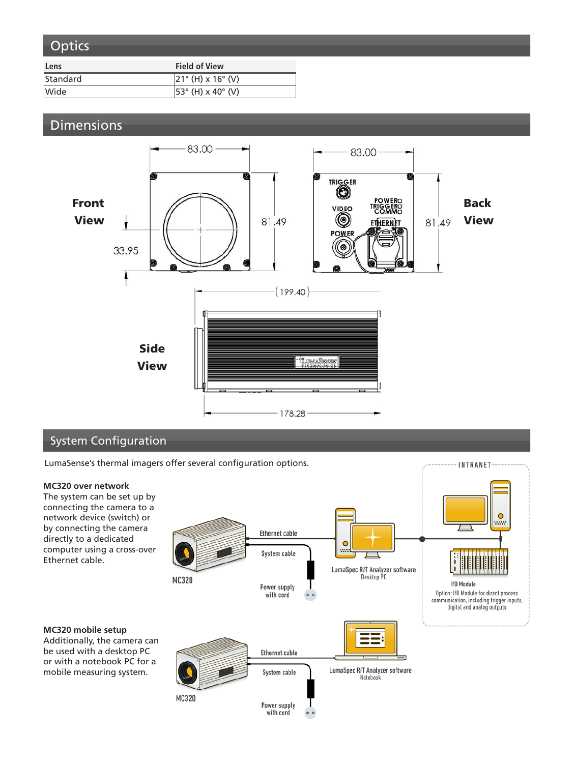# **Optics**

| Lens     | <b>Field of View</b>        |
|----------|-----------------------------|
| Standard | $ 21^{\circ}$ (H) x 16° (V) |
| Wide     | $ 53^{\circ}$ (H) x 40° (V) |

# **Dimensions**



## System Configuration

LumaSense's thermal imagers offer several configuration options.

#### **MC320 over network**

The system can be set up by connecting the camera to a network device (switch) or by connecting the camera directly to a dedicated computer using a cross-over Ethernet cable.

#### $\bullet$ ww **Ethernet cable** System cable LumaSpec R/T Analyzer software Desktop PC MC320 **I/O Module** Power supply Option: I/O Module for direct process with cord communication, including trigger inputs, digital and analog outputs ≡≡ **Ethernet cable** LumaSpec R/T Analyzer software<br>Notebook System cable MC320 Power supply with cord

INTRANET

#### **MC320 mobile setup** Additionally, the camera can be used with a desktop PC

or with a notebook PC for a mobile measuring system.